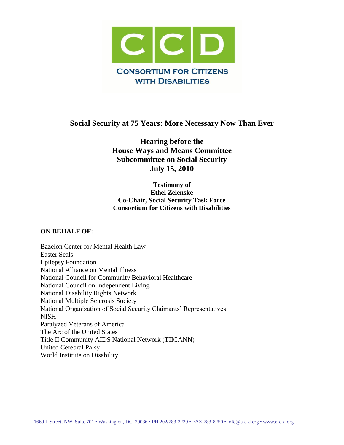

# **Social Security at 75 Years: More Necessary Now Than Ever**

**Hearing before the House Ways and Means Committee Subcommittee on Social Security July 15, 2010**

#### **Testimony of Ethel Zelenske Co-Chair, Social Security Task Force Consortium for Citizens with Disabilities**

#### **ON BEHALF OF:**

Bazelon Center for Mental Health Law Easter Seals Epilepsy Foundation National Alliance on Mental Illness National Council for Community Behavioral Healthcare National Council on Independent Living National Disability Rights Network National Multiple Sclerosis Society National Organization of Social Security Claimants' Representatives NISH Paralyzed Veterans of America The Arc of the United States Title II Community AIDS National Network (TIICANN) United Cerebral Palsy World Institute on Disability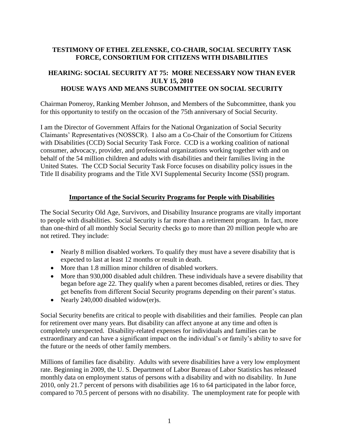#### **TESTIMONY OF ETHEL ZELENSKE, CO-CHAIR, SOCIAL SECURITY TASK FORCE, CONSORTIUM FOR CITIZENS WITH DISABILITIES**

## **HEARING: SOCIAL SECURITY AT 75: MORE NECESSARY NOW THAN EVER JULY 15, 2010 HOUSE WAYS AND MEANS SUBCOMMITTEE ON SOCIAL SECURITY**

Chairman Pomeroy, Ranking Member Johnson, and Members of the Subcommittee, thank you for this opportunity to testify on the occasion of the 75th anniversary of Social Security.

I am the Director of Government Affairs for the National Organization of Social Security Claimants' Representatives (NOSSCR). I also am a Co-Chair of the Consortium for Citizens with Disabilities (CCD) Social Security Task Force. CCD is a working coalition of national consumer, advocacy, provider, and professional organizations working together with and on behalf of the 54 million children and adults with disabilities and their families living in the United States. The CCD Social Security Task Force focuses on disability policy issues in the Title II disability programs and the Title XVI Supplemental Security Income (SSI) program.

#### **Importance of the Social Security Programs for People with Disabilities**

The Social Security Old Age, Survivors, and Disability Insurance programs are vitally important to people with disabilities. Social Security is far more than a retirement program. In fact, more than one-third of all monthly Social Security checks go to more than 20 million people who are not retired. They include:

- Nearly 8 million disabled workers. To qualify they must have a severe disability that is expected to last at least 12 months or result in death.
- More than 1.8 million minor children of disabled workers.
- More than 930,000 disabled adult children. These individuals have a severe disability that began before age 22. They qualify when a parent becomes disabled, retires or dies. They get benefits from different Social Security programs depending on their parent's status.
- Nearly 240,000 disabled widow(er)s.

Social Security benefits are critical to people with disabilities and their families. People can plan for retirement over many years. But disability can affect anyone at any time and often is completely unexpected. Disability-related expenses for individuals and families can be extraordinary and can have a significant impact on the individual's or family's ability to save for the future or the needs of other family members.

Millions of families face disability. Adults with severe disabilities have a very low employment rate. Beginning in 2009, the U. S. Department of Labor Bureau of Labor Statistics has released monthly data on employment status of persons with a disability and with no disability. In June 2010, only 21.7 percent of persons with disabilities age 16 to 64 participated in the labor force, compared to 70.5 percent of persons with no disability. The unemployment rate for people with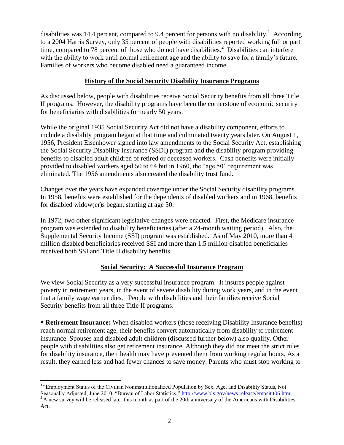disabilities was 14.4 percent, compared to 9.4 percent for persons with no disability.<sup>1</sup> According to a 2004 Harris Survey, only 35 percent of people with disabilities reported working full or part time, compared to 78 percent of those who do not have disabilities.<sup>2</sup> Disabilities can interfere with the ability to work until normal retirement age and the ability to save for a family's future. Families of workers who become disabled need a guaranteed income.

#### **History of the Social Security Disability Insurance Programs**

As discussed below, people with disabilities receive Social Security benefits from all three Title II programs. However, the disability programs have been the cornerstone of economic security for beneficiaries with disabilities for nearly 50 years.

While the original 1935 Social Security Act did not have a disability component, efforts to include a disability program began at that time and culminated twenty years later. On August 1, 1956, President Eisenhower signed into law amendments to the Social Security Act, establishing the Social Security Disability Insurance (SSDI) program and the disability program providing benefits to disabled adult children of retired or deceased workers. Cash benefits were initially provided to disabled workers aged 50 to 64 but in 1960, the "age 50" requirement was eliminated. The 1956 amendments also created the disability trust fund.

Changes over the years have expanded coverage under the Social Security disability programs. In 1958, benefits were established for the dependents of disabled workers and in 1968, benefits for disabled widow(er)s began, starting at age 50.

In 1972, two other significant legislative changes were enacted. First, the Medicare insurance program was extended to disability beneficiaries (after a 24-month waiting period). Also, the Supplemental Security Income (SSI) program was established. As of May 2010, more than 4 million disabled beneficiaries received SSI and more than 1.5 million disabled beneficiaries received both SSI and Title II disability benefits.

# **Social Security: A Successful Insurance Program**

We view Social Security as a very successful insurance program. It insures people against poverty in retirement years, in the event of severe disability during work years, and in the event that a family wage earner dies. People with disabilities and their families receive Social Security benefits from all three Title II programs:

• **Retirement Insurance:** When disabled workers (those receiving Disability Insurance benefits) reach normal retirement age, their benefits convert automatically from disability to retirement insurance. Spouses and disabled adult children (discussed further below) also qualify. Other people with disabilities also get retirement insurance. Although they did not meet the strict rules for disability insurance, their health may have prevented them from working regular hours. As a result, they earned less and had fewer chances to save money. Parents who must stop working to

 $\overline{a}$ <sup>1</sup> "Employment Status of the Civilian Noninstitutionalized Population by Sex, Age, and Disability Status, Not Seasonally Adjusted, June 2010, "Bureau of Labor Statistics," [http://www.bls.gov/news.release/empsit.t06.htm.](http://www.bls.gov/news.release/empsit.t06.htm)  $2^2$ A new survey will be released later this month as part of the 20th anniversary of the Americans with Disabilities

Act.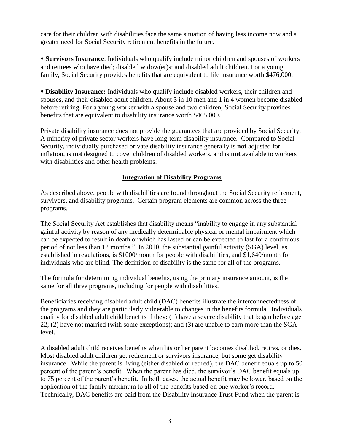care for their children with disabilities face the same situation of having less income now and a greater need for Social Security retirement benefits in the future.

• **Survivors Insurance**: Individuals who qualify include minor children and spouses of workers and retirees who have died; disabled widow(er)s; and disabled adult children. For a young family, Social Security provides benefits that are equivalent to life insurance worth \$476,000.

• **Disability Insurance:** Individuals who qualify include disabled workers, their children and spouses, and their disabled adult children. About 3 in 10 men and 1 in 4 women become disabled before retiring. For a young worker with a spouse and two children, Social Security provides benefits that are equivalent to disability insurance worth \$465,000.

Private disability insurance does not provide the guarantees that are provided by Social Security. A minority of private sector workers have long-term disability insurance. Compared to Social Security, individually purchased private disability insurance generally is **not** adjusted for inflation, is **not** designed to cover children of disabled workers, and is **not** available to workers with disabilities and other health problems.

#### **Integration of Disability Programs**

As described above, people with disabilities are found throughout the Social Security retirement, survivors, and disability programs. Certain program elements are common across the three programs.

The Social Security Act establishes that disability means "inability to engage in any substantial gainful activity by reason of any medically determinable physical or mental impairment which can be expected to result in death or which has lasted or can be expected to last for a continuous period of not less than 12 months." In 2010, the substantial gainful activity (SGA) level, as established in regulations, is \$1000/month for people with disabilities, and \$1,640/month for individuals who are blind. The definition of disability is the same for all of the programs.

The formula for determining individual benefits, using the primary insurance amount, is the same for all three programs, including for people with disabilities.

Beneficiaries receiving disabled adult child (DAC) benefits illustrate the interconnectedness of the programs and they are particularly vulnerable to changes in the benefits formula. Individuals qualify for disabled adult child benefits if they: (1) have a severe disability that began before age 22; (2) have not married (with some exceptions); and (3) are unable to earn more than the SGA level.

A disabled adult child receives benefits when his or her parent becomes disabled, retires, or dies. Most disabled adult children get retirement or survivors insurance, but some get disability insurance. While the parent is living (either disabled or retired), the DAC benefit equals up to 50 percent of the parent's benefit. When the parent has died, the survivor's DAC benefit equals up to 75 percent of the parent's benefit. In both cases, the actual benefit may be lower, based on the application of the family maximum to all of the benefits based on one worker's record. Technically, DAC benefits are paid from the Disability Insurance Trust Fund when the parent is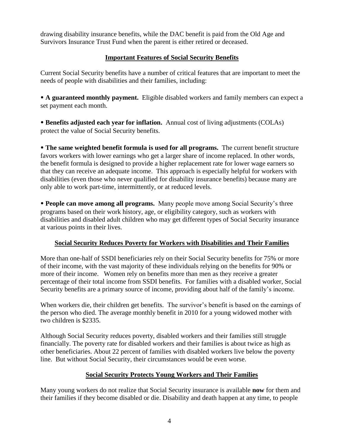drawing disability insurance benefits, while the DAC benefit is paid from the Old Age and Survivors Insurance Trust Fund when the parent is either retired or deceased.

## **Important Features of Social Security Benefits**

Current Social Security benefits have a number of critical features that are important to meet the needs of people with disabilities and their families, including:

• **A guaranteed monthly payment.** Eligible disabled workers and family members can expect a set payment each month.

• **Benefits adjusted each year for inflation.** Annual cost of living adjustments (COLAs) protect the value of Social Security benefits.

• **The same weighted benefit formula is used for all programs.** The current benefit structure favors workers with lower earnings who get a larger share of income replaced. In other words, the benefit formula is designed to provide a higher replacement rate for lower wage earners so that they can receive an adequate income. This approach is especially helpful for workers with disabilities (even those who never qualified for disability insurance benefits) because many are only able to work part-time, intermittently, or at reduced levels.

• **People can move among all programs.** Many people move among Social Security's three programs based on their work history, age, or eligibility category, such as workers with disabilities and disabled adult children who may get different types of Social Security insurance at various points in their lives.

# **Social Security Reduces Poverty for Workers with Disabilities and Their Families**

More than one-half of SSDI beneficiaries rely on their Social Security benefits for 75% or more of their income, with the vast majority of these individuals relying on the benefits for 90% or more of their income. Women rely on benefits more than men as they receive a greater percentage of their total income from SSDI benefits. For families with a disabled worker, Social Security benefits are a primary source of income, providing about half of the family's income.

When workers die, their children get benefits. The survivor's benefit is based on the earnings of the person who died. The average monthly benefit in 2010 for a young widowed mother with two children is \$2335.

Although Social Security reduces poverty, disabled workers and their families still struggle financially. The poverty rate for disabled workers and their families is about twice as high as other beneficiaries. About 22 percent of families with disabled workers live below the poverty line. But without Social Security, their circumstances would be even worse.

# **Social Security Protects Young Workers and Their Families**

Many young workers do not realize that Social Security insurance is available **now** for them and their families if they become disabled or die. Disability and death happen at any time, to people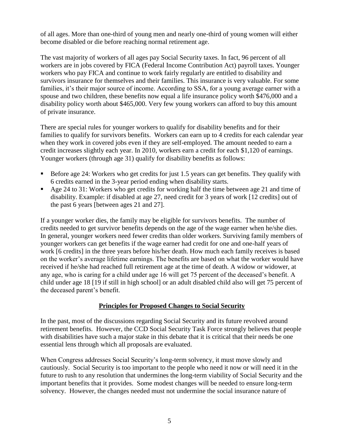of all ages. More than one-third of young men and nearly one-third of young women will either become disabled or die before reaching normal retirement age.

The vast majority of workers of all ages pay Social Security taxes. In fact, 96 percent of all workers are in jobs covered by FICA (Federal Income Contribution Act) payroll taxes. Younger workers who pay FICA and continue to work fairly regularly are entitled to disability and survivors insurance for themselves and their families. This insurance is very valuable. For some families, it's their major source of income. According to SSA, for a young average earner with a spouse and two children, these benefits now equal a life insurance policy worth \$476,000 and a disability policy worth about \$465,000. Very few young workers can afford to buy this amount of private insurance.

There are special rules for younger workers to qualify for disability benefits and for their families to qualify for survivors benefits. Workers can earn up to 4 credits for each calendar year when they work in covered jobs even if they are self-employed. The amount needed to earn a credit increases slightly each year. In 2010, workers earn a credit for each \$1,120 of earnings. Younger workers (through age 31) qualify for disability benefits as follows:

- Before age 24: Workers who get credits for just 1.5 years can get benefits. They qualify with 6 credits earned in the 3-year period ending when disability starts.
- Age 24 to 31: Workers who get credits for working half the time between age 21 and time of disability. Example: if disabled at age 27, need credit for 3 years of work [12 credits] out of the past 6 years [between ages 21 and 27].

If a younger worker dies, the family may be eligible for survivors benefits. The number of credits needed to get survivor benefits depends on the age of the wage earner when he/she dies. In general, younger workers need fewer credits than older workers. Surviving family members of younger workers can get benefits if the wage earner had credit for one and one-half years of work [6 credits] in the three years before his/her death. How much each family receives is based on the worker's average lifetime earnings. The benefits are based on what the worker would have received if he/she had reached full retirement age at the time of death. A widow or widower, at any age, who is caring for a child under age 16 will get 75 percent of the deceased's benefit. A child under age 18 [19 if still in high school] or an adult disabled child also will get 75 percent of the deceased parent's benefit.

#### **Principles for Proposed Changes to Social Security**

In the past, most of the discussions regarding Social Security and its future revolved around retirement benefits. However, the CCD Social Security Task Force strongly believes that people with disabilities have such a major stake in this debate that it is critical that their needs be one essential lens through which all proposals are evaluated.

When Congress addresses Social Security's long-term solvency, it must move slowly and cautiously. Social Security is too important to the people who need it now or will need it in the future to rush to any resolution that undermines the long-term viability of Social Security and the important benefits that it provides. Some modest changes will be needed to ensure long-term solvency. However, the changes needed must not undermine the social insurance nature of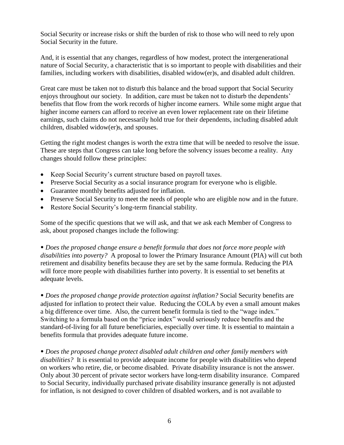Social Security or increase risks or shift the burden of risk to those who will need to rely upon Social Security in the future.

And, it is essential that any changes, regardless of how modest, protect the intergenerational nature of Social Security, a characteristic that is so important to people with disabilities and their families, including workers with disabilities, disabled widow(er)s, and disabled adult children.

Great care must be taken not to disturb this balance and the broad support that Social Security enjoys throughout our society. In addition, care must be taken not to disturb the dependents' benefits that flow from the work records of higher income earners. While some might argue that higher income earners can afford to receive an even lower replacement rate on their lifetime earnings, such claims do not necessarily hold true for their dependents, including disabled adult children, disabled widow(er)s, and spouses.

Getting the right modest changes is worth the extra time that will be needed to resolve the issue. These are steps that Congress can take long before the solvency issues become a reality. Any changes should follow these principles:

- Keep Social Security's current structure based on payroll taxes.
- Preserve Social Security as a social insurance program for everyone who is eligible.
- Guarantee monthly benefits adjusted for inflation.
- Preserve Social Security to meet the needs of people who are eligible now and in the future.
- Restore Social Security's long-term financial stability.

Some of the specific questions that we will ask, and that we ask each Member of Congress to ask, about proposed changes include the following:

• *Does the proposed change ensure a benefit formula that does not force more people with disabilities into poverty?* A proposal to lower the Primary Insurance Amount (PIA) will cut both retirement and disability benefits because they are set by the same formula. Reducing the PIA will force more people with disabilities further into poverty. It is essential to set benefits at adequate levels.

• *Does the proposed change provide protection against inflation?* Social Security benefits are adjusted for inflation to protect their value. Reducing the COLA by even a small amount makes a big difference over time. Also, the current benefit formula is tied to the "wage index." Switching to a formula based on the "price index" would seriously reduce benefits and the standard-of-living for all future beneficiaries, especially over time. It is essential to maintain a benefits formula that provides adequate future income.

• *Does the proposed change protect disabled adult children and other family members with disabilities?* It is essential to provide adequate income for people with disabilities who depend on workers who retire, die, or become disabled. Private disability insurance is not the answer. Only about 30 percent of private sector workers have long-term disability insurance. Compared to Social Security, individually purchased private disability insurance generally is not adjusted for inflation, is not designed to cover children of disabled workers, and is not available to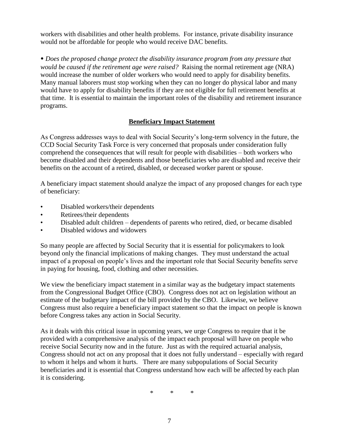workers with disabilities and other health problems. For instance, private disability insurance would not be affordable for people who would receive DAC benefits.

• *Does the proposed change protect the disability insurance program from any pressure that would be caused if the retirement age were raised?* Raising the normal retirement age (NRA) would increase the number of older workers who would need to apply for disability benefits. Many manual laborers must stop working when they can no longer do physical labor and many would have to apply for disability benefits if they are not eligible for full retirement benefits at that time. It is essential to maintain the important roles of the disability and retirement insurance programs.

## **Beneficiary Impact Statement**

As Congress addresses ways to deal with Social Security's long-term solvency in the future, the CCD Social Security Task Force is very concerned that proposals under consideration fully comprehend the consequences that will result for people with disabilities – both workers who become disabled and their dependents and those beneficiaries who are disabled and receive their benefits on the account of a retired, disabled, or deceased worker parent or spouse.

A beneficiary impact statement should analyze the impact of any proposed changes for each type of beneficiary:

- Disabled workers/their dependents
- Retirees/their dependents
- Disabled adult children dependents of parents who retired, died, or became disabled
- Disabled widows and widowers

So many people are affected by Social Security that it is essential for policymakers to look beyond only the financial implications of making changes. They must understand the actual impact of a proposal on people's lives and the important role that Social Security benefits serve in paying for housing, food, clothing and other necessities.

We view the beneficiary impact statement in a similar way as the budgetary impact statements from the Congressional Budget Office (CBO). Congress does not act on legislation without an estimate of the budgetary impact of the bill provided by the CBO. Likewise, we believe Congress must also require a beneficiary impact statement so that the impact on people is known before Congress takes any action in Social Security.

As it deals with this critical issue in upcoming years, we urge Congress to require that it be provided with a comprehensive analysis of the impact each proposal will have on people who receive Social Security now and in the future. Just as with the required actuarial analysis, Congress should not act on any proposal that it does not fully understand – especially with regard to whom it helps and whom it hurts. There are many subpopulations of Social Security beneficiaries and it is essential that Congress understand how each will be affected by each plan it is considering.

\* \* \*